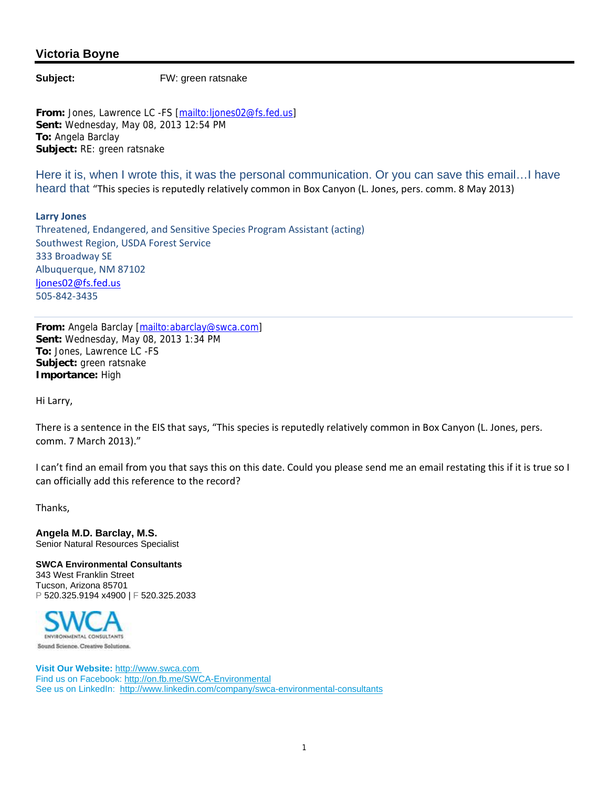## **Victoria Boyne**

**Subject:** FW: green ratsnake

**From:** Jones, Lawrence LC -FS [mailto:ljones02@fs.fed.us] **Sent:** Wednesday, May 08, 2013 12:54 PM **To:** Angela Barclay **Subject:** RE: green ratsnake

Here it is, when I wrote this, it was the personal communication. Or you can save this email...I have heard that "This species is reputedly relatively common in Box Canyon (L. Jones, pers. comm. 8 May 2013)

**Larry Jones** Threatened, Endangered, and Sensitive Species Program Assistant (acting) Southwest Region, USDA Forest Service 333 Broadway SE Albuquerque, NM 87102 ljones02@fs.fed.us 505‐842‐3435

From: Angela Barclay [mailto:abarclay@swca.com] **Sent:** Wednesday, May 08, 2013 1:34 PM **To:** Jones, Lawrence LC -FS **Subject:** green ratsnake **Importance:** High

Hi Larry,

There is a sentence in the EIS that says, "This species is reputedly relatively common in Box Canyon (L. Jones, pers. comm. 7 March 2013)."

I can't find an email from you that says this on this date. Could you please send me an email restating this if it is true so I can officially add this reference to the record?

Thanks,

**Angela M.D. Barclay, M.S.** Senior Natural Resources Specialist

**SWCA Environmental Consultants** 343 West Franklin Street Tucson, Arizona 85701 P 520.325.9194 x4900 | F 520.325.2033



**Visit Our Website:** http://www.swca.com Find us on Facebook: http://on.fb.me/SWCA-Environmental See us on LinkedIn: http://www.linkedin.com/company/swca-environmental-consultants